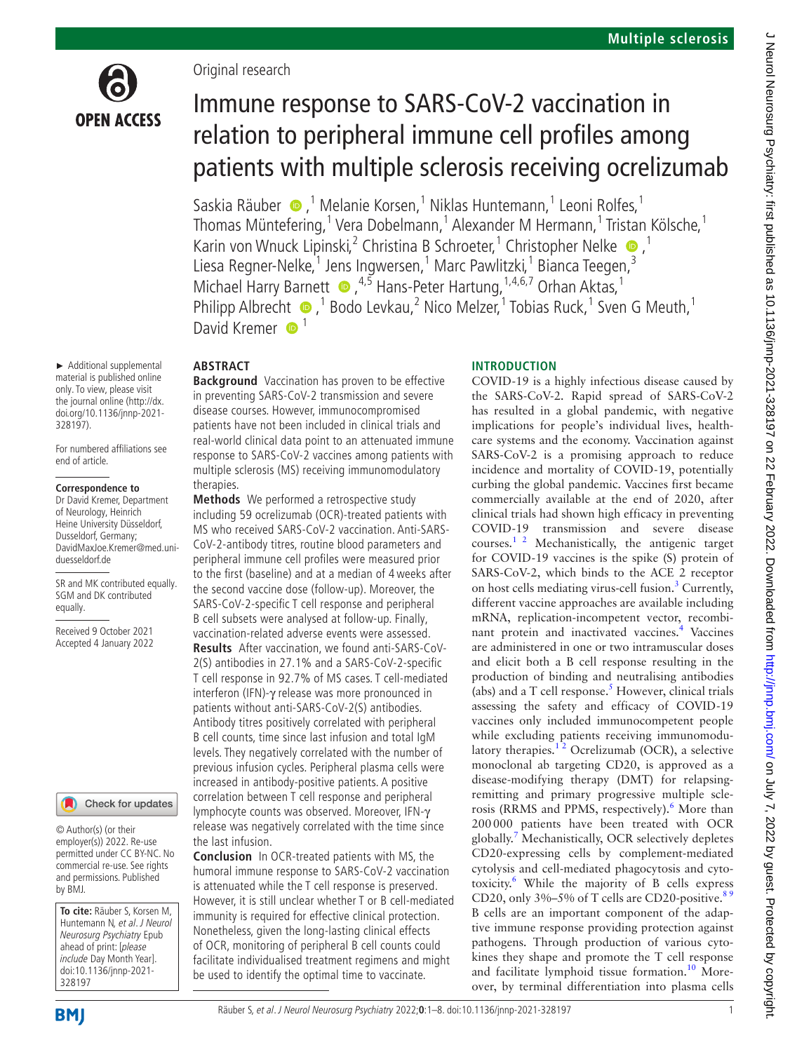

## Original research

**ABSTRACT**

# Immune response to SARS-CoV-2 vaccination in relation to peripheral immune cell profiles among patients with multiple sclerosis receiving ocrelizumab

SaskiaRäuber  $\bigcirc$ ,<sup>1</sup> Melanie Korsen,<sup>1</sup> Niklas Huntemann,<sup>1</sup> Leoni Rolfes,<sup>1</sup> Thomas Müntefering, <sup>1</sup> Vera Dobelmann, <sup>1</sup> Alexander M Hermann, <sup>1</sup> Tristan Kölsche, <sup>1</sup> Karin von Wnuck Lipinski,<sup>2</sup> Christina B Schroeter,<sup>1</sup> Christopher Nelke <sup>1</sup>,<sup>1</sup> Liesa Regner-Nelke, <sup>1</sup> Jens Ingwersen, <sup>1</sup> Marc Pawlitzki, <sup>1</sup> Bianca Teegen, <sup>3</sup> Michael Harry Barnett  $\bullet$ ,  $^{4,5}$  Hans-Peter Hartung,  $^{1,4,6,7}$  Orhan Aktas,  $^{1}$ Philipp Albrecht  $\bullet$ , <sup>1</sup> Bodo Levkau, <sup>2</sup> Nico Melzer, <sup>1</sup> Tobias Ruck, <sup>1</sup> Sven G Meuth, <sup>1</sup> David Kremer  $\bullet$ <sup>1</sup>

#### ► Additional supplemental material is published online only. To view, please visit the journal online [\(http://dx.](http://dx.doi.org/10.1136/jnnp-2021-328197) [doi.org/10.1136/jnnp-2021-](http://dx.doi.org/10.1136/jnnp-2021-328197) [328197](http://dx.doi.org/10.1136/jnnp-2021-328197)).

For numbered affiliations see end of article.

#### **Correspondence to**

Dr David Kremer, Department of Neurology, Heinrich Heine University Düsseldorf, Dusseldorf, Germany; DavidMaxJoe.Kremer@med.uniduesseldorf.de

SR and MK contributed equally. SGM and DK contributed equally.

Received 9 October 2021 Accepted 4 January 2022

#### Check for updates

© Author(s) (or their employer(s)) 2022. Re-use permitted under CC BY-NC. No commercial re-use. See rights and permissions. Published by BMJ.

**To cite:** Räuber S, Korsen M, Huntemann N, et al. J Neurol Neurosurg Psychiatry Epub ahead of print: [please include Day Month Year]. doi:10.1136/jnnp-2021- 328197

**Background** Vaccination has proven to be effective in preventing SARS-CoV-2 transmission and severe disease courses. However, immunocompromised patients have not been included in clinical trials and real-world clinical data point to an attenuated immune response to SARS-CoV-2 vaccines among patients with multiple sclerosis (MS) receiving immunomodulatory therapies.

**Methods** We performed a retrospective study including 59 ocrelizumab (OCR)-treated patients with MS who received SARS-CoV-2 vaccination. Anti-SARS-CoV-2-antibody titres, routine blood parameters and peripheral immune cell profiles were measured prior to the first (baseline) and at a median of 4weeks after the second vaccine dose (follow-up). Moreover, the SARS-CoV-2-specific T cell response and peripheral B cell subsets were analysed at follow-up. Finally, vaccination-related adverse events were assessed. **Results** After vaccination, we found anti-SARS-CoV-2(S) antibodies in 27.1% and a SARS-CoV-2-specific T cell response in 92.7% of MS cases. T cell-mediated interferon (IFN)-γ release was more pronounced in patients without anti-SARS-CoV-2(S) antibodies. Antibody titres positively correlated with peripheral B cell counts, time since last infusion and total IgM levels. They negatively correlated with the number of previous infusion cycles. Peripheral plasma cells were increased in antibody-positive patients. A positive correlation between T cell response and peripheral lymphocyte counts was observed. Moreover, IFN-γ release was negatively correlated with the time since the last infusion.

**Conclusion** In OCR-treated patients with MS, the humoral immune response to SARS-CoV-2 vaccination is attenuated while the T cell response is preserved. However, it is still unclear whether T or B cell-mediated immunity is required for effective clinical protection. Nonetheless, given the long-lasting clinical effects of OCR, monitoring of peripheral B cell counts could facilitate individualised treatment regimens and might be used to identify the optimal time to vaccinate.

#### **INTRODUCTION**

COVID-19 is a highly infectious disease caused by the SARS-CoV-2. Rapid spread of SARS-CoV-2 has resulted in a global pandemic, with negative implications for people's individual lives, healthcare systems and the economy. Vaccination against SARS-CoV-2 is a promising approach to reduce incidence and mortality of COVID-19, potentially curbing the global pandemic. Vaccines first became commercially available at the end of 2020, after clinical trials had shown high efficacy in preventing COVID-19 transmission and severe disease courses.<sup>1 2</sup> Mechanistically, the antigenic target for COVID-19 vaccines is the spike (S) protein of SARS-CoV-2, which binds to the ACE 2 receptor on host cells mediating virus-cell fusion.<sup>[3](#page-7-1)</sup> Currently, different vaccine approaches are available including mRNA, replication-incompetent vector, recombinant protein and inactivated vaccines.<sup>4</sup> Vaccines are administered in one or two intramuscular doses and elicit both a B cell response resulting in the production of binding and neutralising antibodies (abs) and a T cell response. $<sup>5</sup>$  $<sup>5</sup>$  $<sup>5</sup>$  However, clinical trials</sup> assessing the safety and efficacy of COVID-19 vaccines only included immunocompetent people while excluding patients receiving immunomodulatory therapies.<sup>12</sup> Ocrelizumab (OCR), a selective monoclonal ab targeting CD20, is approved as a disease-modifying therapy (DMT) for relapsingremitting and primary progressive multiple scle-rosis (RRMS and PPMS, respectively).<sup>[6](#page-7-4)</sup> More than 200000 patients have been treated with OCR globally. [7](#page-7-5) Mechanistically, OCR selectively depletes CD20-expressing cells by complement-mediated cytolysis and cell-mediated phagocytosis and cytotoxicity[.6](#page-7-4) While the majority of B cells express CD20, only  $3\% - 5\%$  of T cells are CD20-positive.<sup>89</sup> B cells are an important component of the adaptive immune response providing protection against pathogens. Through production of various cytokines they shape and promote the T cell response and facilitate lymphoid tissue formation.<sup>10</sup> Moreover, by terminal differentiation into plasma cells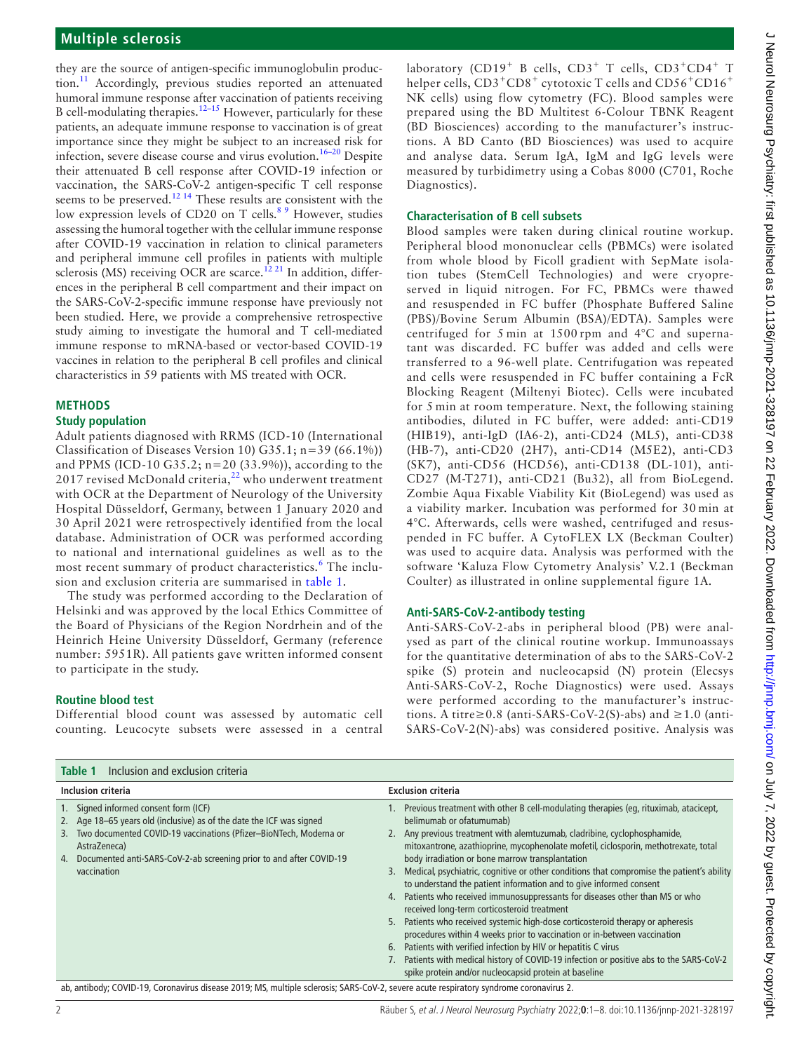## **Multiple sclerosis**

they are the source of antigen-specific immunoglobulin production.<sup>11</sup> Accordingly, previous studies reported an attenuated humoral immune response after vaccination of patients receiving B cell-modulating therapies.[12–15](#page-7-9) However, particularly for these patients, an adequate immune response to vaccination is of great importance since they might be subject to an increased risk for infection, severe disease course and virus evolution.[16–20](#page-7-10) Despite their attenuated B cell response after COVID-19 infection or vaccination, the SARS-CoV-2 antigen-specific T cell response seems to be preserved.<sup>12 14</sup> These results are consistent with the low expression levels of CD20 on T cells.<sup>89</sup> However, studies assessing the humoral together with the cellular immune response after COVID-19 vaccination in relation to clinical parameters and peripheral immune cell profiles in patients with multiple sclerosis (MS) receiving OCR are scarce.<sup>12 21</sup> In addition, differences in the peripheral B cell compartment and their impact on the SARS-CoV-2-specific immune response have previously not been studied. Here, we provide a comprehensive retrospective study aiming to investigate the humoral and T cell-mediated immune response to mRNA-based or vector-based COVID-19 vaccines in relation to the peripheral B cell profiles and clinical characteristics in 59 patients with MS treated with OCR.

# **METHODS**

## **Study population**

Adult patients diagnosed with RRMS (ICD-10 (International Classification of Diseases Version 10) G35.1; n=39 (66.1%)) and PPMS (ICD-10 G35.2; n=20 (33.9%)), according to the 2017 revised McDonald criteria, $^{22}$  $^{22}$  $^{22}$  who underwent treatment with OCR at the Department of Neurology of the University Hospital Düsseldorf, Germany, between 1 January 2020 and 30 April 2021 were retrospectively identified from the local database. Administration of OCR was performed according to national and international guidelines as well as to the most recent summary of product characteristics.<sup>[6](#page-7-4)</sup> The inclusion and exclusion criteria are summarised in [table](#page-1-0) 1.

The study was performed according to the Declaration of Helsinki and was approved by the local Ethics Committee of the Board of Physicians of the Region Nordrhein and of the Heinrich Heine University Düsseldorf, Germany (reference number: 5951R). All patients gave written informed consent to participate in the study.

#### **Routine blood test**

Differential blood count was assessed by automatic cell counting. Leucocyte subsets were assessed in a central laboratory (CD19<sup>+</sup> B cells, CD3<sup>+</sup> T cells, CD3<sup>+</sup>CD4<sup>+</sup> T helper cells, CD3<sup>+</sup>CD8<sup>+</sup> cytotoxic T cells and CD56<sup>+</sup>CD16<sup>+</sup> NK cells) using flow cytometry (FC). Blood samples were prepared using the BD Multitest 6-Colour TBNK Reagent (BD Biosciences) according to the manufacturer's instructions. A BD Canto (BD Biosciences) was used to acquire and analyse data. Serum IgA, IgM and IgG levels were measured by turbidimetry using a Cobas 8000 (C701, Roche Diagnostics).

#### **Characterisation of B cell subsets**

Blood samples were taken during clinical routine workup. Peripheral blood mononuclear cells (PBMCs) were isolated from whole blood by Ficoll gradient with SepMate isolation tubes (StemCell Technologies) and were cryopreserved in liquid nitrogen. For FC, PBMCs were thawed and resuspended in FC buffer (Phosphate Buffered Saline (PBS)/Bovine Serum Albumin (BSA)/EDTA). Samples were centrifuged for 5 min at 1500 rpm and 4°C and supernatant was discarded. FC buffer was added and cells were transferred to a 96-well plate. Centrifugation was repeated and cells were resuspended in FC buffer containing a FcR Blocking Reagent (Miltenyi Biotec). Cells were incubated for 5 min at room temperature. Next, the following staining antibodies, diluted in FC buffer, were added: anti-CD19 (HIB19), anti-IgD (IA6-2), anti-CD24 (ML5), anti-CD38 (HB-7), anti-CD20 (2H7), anti-CD14 (M5E2), anti-CD3 (SK7), anti-CD56 (HCD56), anti-CD138 (DL-101), anti-CD27 (M-T271), anti-CD21 (Bu32), all from BioLegend. Zombie Aqua Fixable Viability Kit (BioLegend) was used as a viability marker. Incubation was performed for 30 min at 4°C. Afterwards, cells were washed, centrifuged and resuspended in FC buffer. A CytoFLEX LX (Beckman Coulter) was used to acquire data. Analysis was performed with the software 'Kaluza Flow Cytometry Analysis' V.2.1 (Beckman Coulter) as illustrated in [online supplemental figure 1A](https://dx.doi.org/10.1136/jnnp-2021-328197).

#### **Anti-SARS-CoV-2-antibody testing**

Anti-SARS-CoV-2-abs in peripheral blood (PB) were analysed as part of the clinical routine workup. Immunoassays for the quantitative determination of abs to the SARS-CoV-2 spike (S) protein and nucleocapsid (N) protein (Elecsys Anti-SARS-CoV-2, Roche Diagnostics) were used. Assays were performed according to the manufacturer's instructions. A titre≥0.8 (anti-SARS-CoV-2(S)-abs) and ≥1.0 (anti-SARS-CoV-2(N)-abs) was considered positive. Analysis was

<span id="page-1-0"></span>

| Inclusion and exclusion criteria<br>Table 1                                                                                                                                                                                                                                                       |                                                                                                                                                                                                                                                                                                                                                                                                                                                                                                                                                                                                                                                                                                                                                                                                                                                                                       |  |
|---------------------------------------------------------------------------------------------------------------------------------------------------------------------------------------------------------------------------------------------------------------------------------------------------|---------------------------------------------------------------------------------------------------------------------------------------------------------------------------------------------------------------------------------------------------------------------------------------------------------------------------------------------------------------------------------------------------------------------------------------------------------------------------------------------------------------------------------------------------------------------------------------------------------------------------------------------------------------------------------------------------------------------------------------------------------------------------------------------------------------------------------------------------------------------------------------|--|
| Inclusion criteria                                                                                                                                                                                                                                                                                | <b>Exclusion criteria</b>                                                                                                                                                                                                                                                                                                                                                                                                                                                                                                                                                                                                                                                                                                                                                                                                                                                             |  |
| 1. Signed informed consent form (ICF)<br>2. Age 18-65 years old (inclusive) as of the date the ICF was signed<br>3. Two documented COVID-19 vaccinations (Pfizer-BioNTech, Moderna or<br>AstraZeneca)<br>Documented anti-SARS-CoV-2-ab screening prior to and after COVID-19<br>4.<br>vaccination | Previous treatment with other B cell-modulating therapies (eg, rituximab, atacicept,<br>belimumab or ofatumumab)<br>2. Any previous treatment with alemtuzumab, cladribine, cyclophosphamide,<br>mitoxantrone, azathioprine, mycophenolate mofetil, ciclosporin, methotrexate, total<br>body irradiation or bone marrow transplantation<br>3. Medical, psychiatric, cognitive or other conditions that compromise the patient's ability<br>to understand the patient information and to give informed consent<br>4. Patients who received immunosuppressants for diseases other than MS or who<br>received long-term corticosteroid treatment<br>Patients who received systemic high-dose corticosteroid therapy or apheresis<br>5.<br>procedures within 4 weeks prior to vaccination or in-between vaccination<br>Patients with verified infection by HIV or hepatitis C virus<br>6. |  |
|                                                                                                                                                                                                                                                                                                   | Patients with medical history of COVID-19 infection or positive abs to the SARS-CoV-2<br>spike protein and/or nucleocapsid protein at baseline                                                                                                                                                                                                                                                                                                                                                                                                                                                                                                                                                                                                                                                                                                                                        |  |
| ab, antibody; COVID-19, Coronavirus disease 2019; MS, multiple sclerosis; SARS-CoV-2, severe acute respiratory syndrome coronavirus 2.                                                                                                                                                            |                                                                                                                                                                                                                                                                                                                                                                                                                                                                                                                                                                                                                                                                                                                                                                                                                                                                                       |  |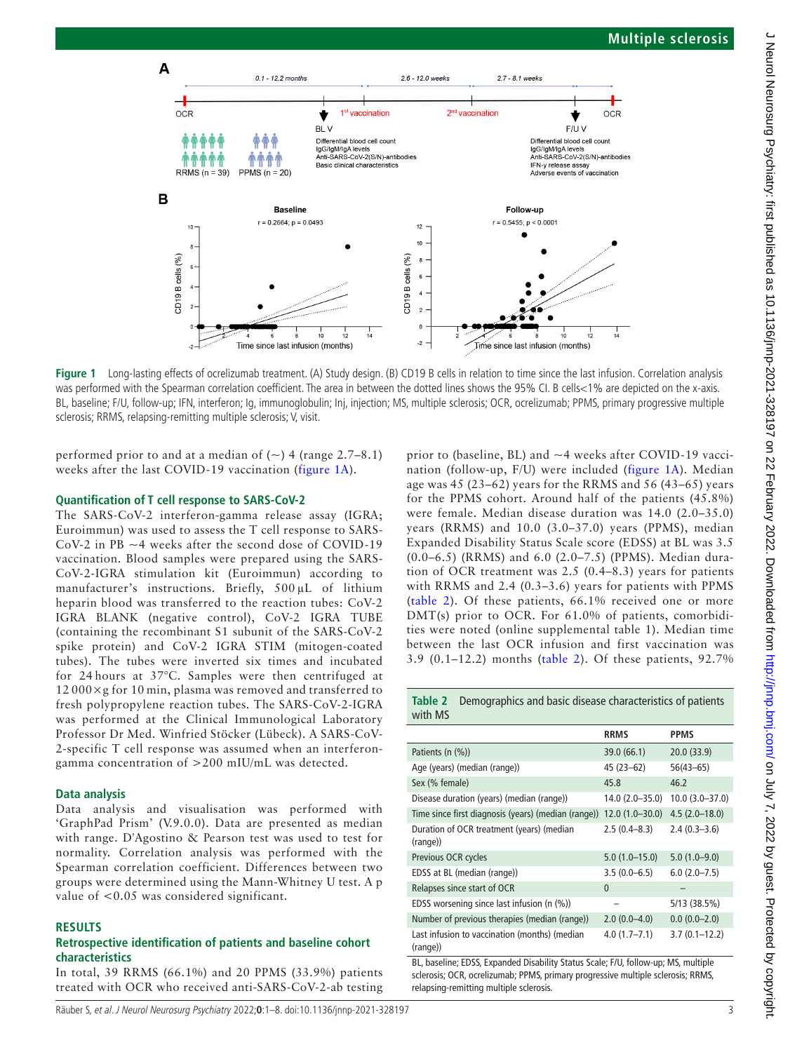

**Figure 1** Long-lasting effects of ocrelizumab treatment. (A) Study design. (B) CD19 B cells in relation to time since the last infusion. Correlation analysis was performed with the Spearman correlation coefficient. The area in between the dotted lines shows the 95% CI. B cells<1% are depicted on the x-axis. BL, baseline; F/U, follow-up; IFN, interferon; Ig, immunoglobulin; Inj, injection; MS, multiple sclerosis; OCR, ocrelizumab; PPMS, primary progressive multiple sclerosis; RRMS, relapsing-remitting multiple sclerosis; V, visit.

performed prior to and at a median of  $(\sim)$  4 (range 2.7–8.1) weeks after the last COVID-19 vaccination ([figure](#page-2-0) 1A).

#### **Quantification of T cell response to SARS-CoV-2**

The SARS-CoV-2 interferon-gamma release assay (IGRA; Euroimmun) was used to assess the T cell response to SARS-CoV-2 in  $PB \sim 4$  weeks after the second dose of COVID-19 vaccination. Blood samples were prepared using the SARS-CoV-2-IGRA stimulation kit (Euroimmun) according to manufacturer's instructions. Briefly, 500 µL of lithium heparin blood was transferred to the reaction tubes: CoV-2 IGRA BLANK (negative control), CoV-2 IGRA TUBE (containing the recombinant S1 subunit of the SARS-CoV-2 spike protein) and CoV-2 IGRA STIM (mitogen-coated tubes). The tubes were inverted six times and incubated for 24 hours at 37°C. Samples were then centrifuged at  $12000\times g$  for 10 min, plasma was removed and transferred to fresh polypropylene reaction tubes. The SARS-CoV-2-IGRA was performed at the Clinical Immunological Laboratory Professor Dr Med. Winfried Stöcker (Lübeck). A SARS-CoV-2-specific T cell response was assumed when an interferongamma concentration of >200 mIU/mL was detected.

#### **Data analysis**

Data analysis and visualisation was performed with 'GraphPad Prism' (V.9.0.0). Data are presented as median with range. D'Agostino & Pearson test was used to test for normality. Correlation analysis was performed with the Spearman correlation coefficient. Differences between two groups were determined using the Mann-Whitney U test. A p value of <0.05 was considered significant.

#### **RESULTS**

#### **Retrospective identification of patients and baseline cohort characteristics**

In total, 39 RRMS (66.1%) and 20 PPMS (33.9%) patients treated with OCR who received anti-SARS-CoV-2-ab testing

<span id="page-2-0"></span>prior to (baseline, BL) and ~4 weeks after COVID-19 vaccination (follow-up, F/U) were included [\(figure](#page-2-0) 1A). Median age was 45 (23–62) years for the RRMS and 56 (43–65) years for the PPMS cohort. Around half of the patients (45.8%) were female. Median disease duration was 14.0 (2.0–35.0) years (RRMS) and 10.0 (3.0–37.0) years (PPMS), median Expanded Disability Status Scale score (EDSS) at BL was 3.5 (0.0–6.5) (RRMS) and 6.0 (2.0–7.5) (PPMS). Median duration of OCR treatment was 2.5 (0.4–8.3) years for patients with RRMS and 2.4 (0.3–3.6) years for patients with PPMS ([table](#page-2-1) 2). Of these patients, 66.1% received one or more DMT(s) prior to OCR. For 61.0% of patients, comorbidities were noted ([online supplemental table 1\)](https://dx.doi.org/10.1136/jnnp-2021-328197). Median time between the last OCR infusion and first vaccination was 3.9 (0.1–12.2) months ([table](#page-2-1) 2). Of these patients, 92.7%

<span id="page-2-1"></span>**Table 2** Demographics and basic disease characteristics of patients with MS

|                                                           | <b>RRMS</b>        | <b>PPMS</b>        |
|-----------------------------------------------------------|--------------------|--------------------|
| Patients (n (%))                                          | 39.0 (66.1)        | 20.0 (33.9)        |
| Age (years) (median (range))                              | $45(23-62)$        | $56(43 - 65)$      |
| Sex (% female)                                            | 45.8               | 46.2               |
| Disease duration (years) (median (range))                 | $14.0(2.0 - 35.0)$ | $10.0(3.0 - 37.0)$ |
| Time since first diagnosis (years) (median (range))       | $12.0(1.0 - 30.0)$ | $4.5(2.0-18.0)$    |
| Duration of OCR treatment (years) (median<br>(range))     | $2.5(0.4 - 8.3)$   | $2.4(0.3-3.6)$     |
| Previous OCR cycles                                       | $5.0(1.0-15.0)$    | $5.0(1.0-9.0)$     |
| EDSS at BL (median (range))                               | $3.5(0.0-6.5)$     | $6.0(2.0 - 7.5)$   |
| Relapses since start of OCR                               | $\mathbf{0}$       |                    |
| EDSS worsening since last infusion (n (%))                |                    | 5/13 (38.5%)       |
| Number of previous therapies (median (range))             | $2.0(0.0-4.0)$     | $0.0(0.0-2.0)$     |
| Last infusion to vaccination (months) (median<br>(range)) | $4.0(1.7 - 7.1)$   | $3.7(0.1 - 12.2)$  |

BL, baseline; EDSS, Expanded Disability Status Scale; F/U, follow-up; MS, multiple sclerosis; OCR, ocrelizumab; PPMS, primary progressive multiple sclerosis; RRMS, relapsing-remitting multiple sclerosis.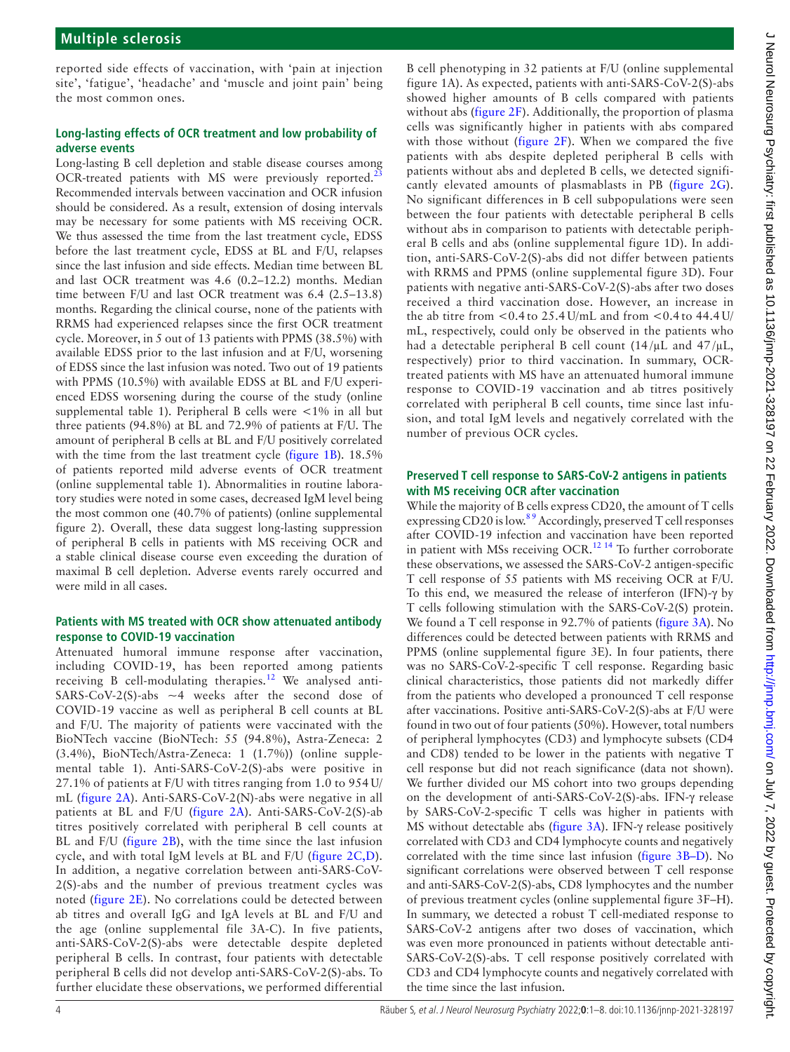reported side effects of vaccination, with 'pain at injection site', 'fatigue', 'headache' and 'muscle and joint pain' being the most common ones.

## **Long-lasting effects of OCR treatment and low probability of adverse events**

Long-lasting B cell depletion and stable disease courses among OCR-treated patients with MS were previously reported. $^{23}$  $^{23}$  $^{23}$ Recommended intervals between vaccination and OCR infusion should be considered. As a result, extension of dosing intervals may be necessary for some patients with MS receiving OCR. We thus assessed the time from the last treatment cycle, EDSS before the last treatment cycle, EDSS at BL and F/U, relapses since the last infusion and side effects. Median time between BL and last OCR treatment was 4.6 (0.2–12.2) months. Median time between F/U and last OCR treatment was 6.4 (2.5–13.8) months. Regarding the clinical course, none of the patients with RRMS had experienced relapses since the first OCR treatment cycle. Moreover, in 5 out of 13 patients with PPMS (38.5%) with available EDSS prior to the last infusion and at F/U, worsening of EDSS since the last infusion was noted. Two out of 19 patients with PPMS (10.5%) with available EDSS at BL and F/U experienced EDSS worsening during the course of the study [\(online](https://dx.doi.org/10.1136/jnnp-2021-328197)  [supplemental table 1](https://dx.doi.org/10.1136/jnnp-2021-328197)). Peripheral B cells were <1% in all but three patients (94.8%) at BL and 72.9% of patients at F/U. The amount of peripheral B cells at BL and F/U positively correlated with the time from the last treatment cycle ([figure](#page-2-0) 1B). 18.5% of patients reported mild adverse events of OCR treatment ([online supplemental table 1\)](https://dx.doi.org/10.1136/jnnp-2021-328197). Abnormalities in routine laboratory studies were noted in some cases, decreased IgM level being the most common one (40.7% of patients) ([online supplemental](https://dx.doi.org/10.1136/jnnp-2021-328197)  [figure 2\)](https://dx.doi.org/10.1136/jnnp-2021-328197). Overall, these data suggest long-lasting suppression of peripheral B cells in patients with MS receiving OCR and a stable clinical disease course even exceeding the duration of maximal B cell depletion. Adverse events rarely occurred and were mild in all cases.

### **Patients with MS treated with OCR show attenuated antibody response to COVID-19 vaccination**

Attenuated humoral immune response after vaccination, including COVID-19, has been reported among patients receiving B cell-modulating therapies.<sup>12</sup> We analysed anti-SARS-CoV-2(S)-abs  $\sim$  4 weeks after the second dose of COVID-19 vaccine as well as peripheral B cell counts at BL and F/U. The majority of patients were vaccinated with the BioNTech vaccine (BioNTech: 55 (94.8%), Astra-Zeneca: 2 (3.4%), BioNTech/Astra-Zeneca: 1 (1.7%)) ([online supple](https://dx.doi.org/10.1136/jnnp-2021-328197)[mental table 1\)](https://dx.doi.org/10.1136/jnnp-2021-328197). Anti-SARS-CoV-2(S)-abs were positive in 27.1% of patients at F/U with titres ranging from 1.0 to 954 U/ mL ([figure](#page-4-0) 2A). Anti-SARS-CoV-2(N)-abs were negative in all patients at BL and F/U [\(figure](#page-4-0) 2A). Anti-SARS-CoV-2(S)-ab titres positively correlated with peripheral B cell counts at BL and F/U ([figure](#page-4-0) 2B), with the time since the last infusion cycle, and with total IgM levels at BL and F/U ([figure](#page-4-0) 2C,D). In addition, a negative correlation between anti-SARS-CoV-2(S)-abs and the number of previous treatment cycles was noted ([figure](#page-4-0) 2E). No correlations could be detected between ab titres and overall IgG and IgA levels at BL and F/U and the age ([online supplemental file 3A-C\)](https://dx.doi.org/10.1136/jnnp-2021-328197). In five patients, anti-SARS-CoV-2(S)-abs were detectable despite depleted peripheral B cells. In contrast, four patients with detectable peripheral B cells did not develop anti-SARS-CoV-2(S)-abs. To further elucidate these observations, we performed differential

B cell phenotyping in 32 patients at F/U ([online supplemental](https://dx.doi.org/10.1136/jnnp-2021-328197) [figure 1A\)](https://dx.doi.org/10.1136/jnnp-2021-328197). As expected, patients with anti-SARS-CoV-2(S)-abs showed higher amounts of B cells compared with patients without abs ([figure](#page-4-0) 2F). Additionally, the proportion of plasma cells was significantly higher in patients with abs compared with those without ([figure](#page-4-0) 2F). When we compared the five patients with abs despite depleted peripheral B cells with patients without abs and depleted B cells, we detected significantly elevated amounts of plasmablasts in PB ([figure](#page-4-0) 2G). No significant differences in B cell subpopulations were seen between the four patients with detectable peripheral B cells without abs in comparison to patients with detectable peripheral B cells and abs [\(online supplemental figure 1D\)](https://dx.doi.org/10.1136/jnnp-2021-328197). In addition, anti-SARS-CoV-2(S)-abs did not differ between patients with RRMS and PPMS ([online supplemental figure 3D](https://dx.doi.org/10.1136/jnnp-2021-328197)). Four patients with negative anti-SARS-CoV-2(S)-abs after two doses received a third vaccination dose. However, an increase in the ab titre from  $\leq 0.4$  to 25.4 U/mL and from  $\leq 0.4$  to 44.4 U/ mL, respectively, could only be observed in the patients who had a detectable peripheral B cell count  $(14/\mu L$  and  $47/\mu L$ , respectively) prior to third vaccination. In summary, OCRtreated patients with MS have an attenuated humoral immune response to COVID-19 vaccination and ab titres positively correlated with peripheral B cell counts, time since last infusion, and total IgM levels and negatively correlated with the number of previous OCR cycles.

## **Preserved T cell response to SARS-CoV-2 antigens in patients with MS receiving OCR after vaccination**

While the majority of B cells express CD20, the amount of T cells expressing CD20 is low.<sup>89</sup> Accordingly, preserved T cell responses after COVID-19 infection and vaccination have been reported in patient with MSs receiving OCR. $^{12}$ <sup>14</sup> To further corroborate these observations, we assessed the SARS-CoV-2 antigen-specific T cell response of 55 patients with MS receiving OCR at F/U. To this end, we measured the release of interferon (IFN)-γ by T cells following stimulation with the SARS-CoV-2(S) protein. We found a T cell response in 92.7% of patients [\(figure](#page-5-0) 3A). No differences could be detected between patients with RRMS and PPMS ([online supplemental figure 3E](https://dx.doi.org/10.1136/jnnp-2021-328197)). In four patients, there was no SARS-CoV-2-specific T cell response. Regarding basic clinical characteristics, those patients did not markedly differ from the patients who developed a pronounced T cell response after vaccinations. Positive anti-SARS-CoV-2(S)-abs at F/U were found in two out of four patients (50%). However, total numbers of peripheral lymphocytes (CD3) and lymphocyte subsets (CD4 and CD8) tended to be lower in the patients with negative T cell response but did not reach significance (data not shown). We further divided our MS cohort into two groups depending on the development of anti-SARS-CoV-2(S)-abs. IFN-γ release by SARS-CoV-2-specific T cells was higher in patients with MS without detectable abs ([figure](#page-5-0) 3A). IFN-γ release positively correlated with CD3 and CD4 lymphocyte counts and negatively correlated with the time since last infusion ([figure](#page-5-0) 3B–D). No significant correlations were observed between T cell response and anti-SARS-CoV-2(S)-abs, CD8 lymphocytes and the number of previous treatment cycles [\(online supplemental figure 3F–H\)](https://dx.doi.org/10.1136/jnnp-2021-328197). In summary, we detected a robust T cell-mediated response to SARS-CoV-2 antigens after two doses of vaccination, which was even more pronounced in patients without detectable anti-SARS-CoV-2(S)-abs. T cell response positively correlated with CD3 and CD4 lymphocyte counts and negatively correlated with the time since the last infusion.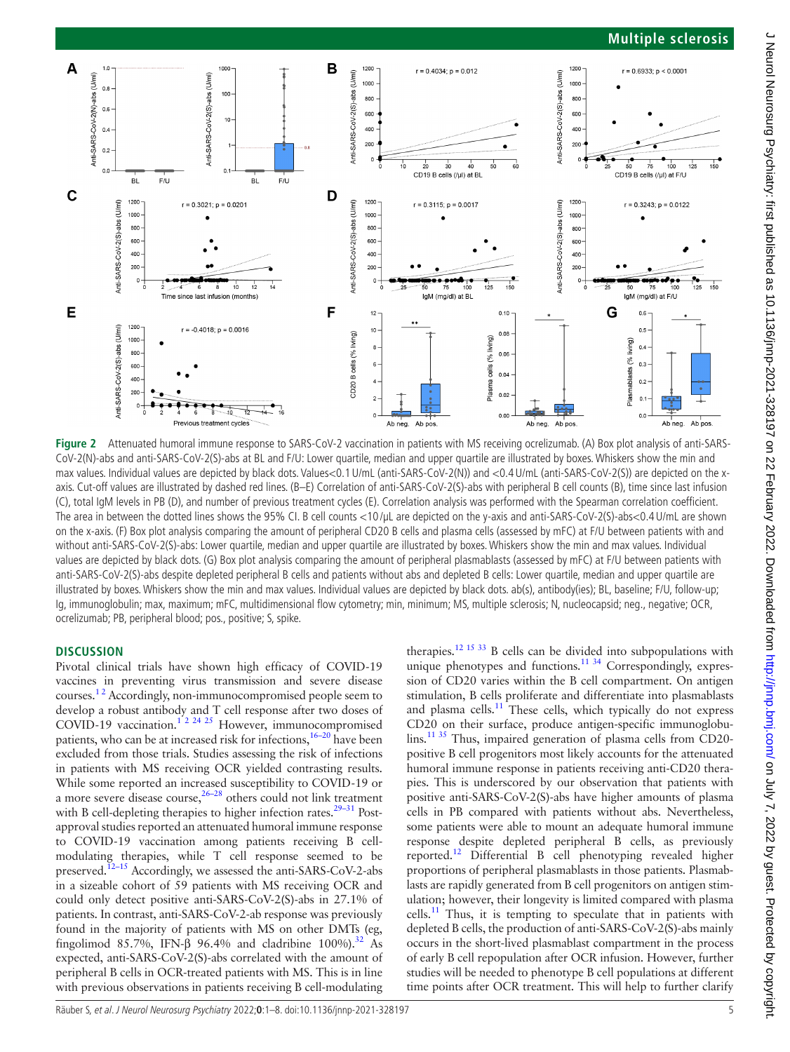## **Multiple sclerosis**



<span id="page-4-0"></span>Figure 2 Attenuated humoral immune response to SARS-CoV-2 vaccination in patients with MS receiving ocrelizumab. (A) Box plot analysis of anti-SARS-CoV-2(N)-abs and anti-SARS-CoV-2(S)-abs at BL and F/U: Lower quartile, median and upper quartile are illustrated by boxes. Whiskers show the min and max values. Individual values are depicted by black dots. Values<0.1U/mL (anti-SARS-CoV-2(N)) and <0.4U/mL (anti-SARS-CoV-2(S)) are depicted on the xaxis. Cut-off values are illustrated by dashed red lines. (B–E) Correlation of anti-SARS-CoV-2(S)-abs with peripheral B cell counts (B), time since last infusion (C), total IgM levels in PB (D), and number of previous treatment cycles (E). Correlation analysis was performed with the Spearman correlation coefficient. The area in between the dotted lines shows the 95% CI. B cell counts <10/µL are depicted on the y-axis and anti-SARS-CoV-2(S)-abs<0.4 U/mL are shown on the x-axis. (F) Box plot analysis comparing the amount of peripheral CD20 B cells and plasma cells (assessed by mFC) at F/U between patients with and without anti-SARS-CoV-2(S)-abs: Lower quartile, median and upper quartile are illustrated by boxes. Whiskers show the min and max values. Individual values are depicted by black dots. (G) Box plot analysis comparing the amount of peripheral plasmablasts (assessed by mFC) at F/U between patients with anti-SARS-CoV-2(S)-abs despite depleted peripheral B cells and patients without abs and depleted B cells: Lower quartile, median and upper quartile are illustrated by boxes. Whiskers show the min and max values. Individual values are depicted by black dots. ab(s), antibody(ies); BL, baseline; F/U, follow-up; Ig, immunoglobulin; max, maximum; mFC, multidimensional flow cytometry; min, minimum; MS, multiple sclerosis; N, nucleocapsid; neg., negative; OCR, ocrelizumab; PB, peripheral blood; pos., positive; S, spike.

#### **DISCUSSION**

Pivotal clinical trials have shown high efficacy of COVID-19 vaccines in preventing virus transmission and severe disease courses.<sup>12</sup> Accordingly, non-immunocompromised people seem to develop a robust antibody and T cell response after two doses of COVID-19 vaccination.<sup>1'2 24 25</sup> However, immunocompromised patients, who can be at increased risk for infections,<sup>[16–20](#page-7-10)</sup> have been excluded from those trials. Studies assessing the risk of infections in patients with MS receiving OCR yielded contrasting results. While some reported an increased susceptibility to COVID-19 or a more severe disease course, $26-28$  others could not link treatment with B cell-depleting therapies to higher infection rates.<sup>29-31</sup> Postapproval studies reported an attenuated humoral immune response to COVID-19 vaccination among patients receiving B cellmodulating therapies, while T cell response seemed to be preserved.<sup>12–15</sup> Accordingly, we assessed the anti-SARS-CoV-2-abs in a sizeable cohort of 59 patients with MS receiving OCR and could only detect positive anti-SARS-CoV-2(S)-abs in 27.1% of patients. In contrast, anti-SARS-CoV-2-ab response was previously found in the majority of patients with MS on other DMTs (eg, fingolimod 85.7%, IFN- $\beta$  96.4% and cladribine 100%).<sup>[32](#page-7-15)</sup> As expected, anti-SARS-CoV-2(S)-abs correlated with the amount of peripheral B cells in OCR-treated patients with MS. This is in line with previous observations in patients receiving B cell-modulating

therapies[.12 15 33](#page-7-9) B cells can be divided into subpopulations with unique phenotypes and functions.<sup>11 34</sup> Correspondingly, expression of CD20 varies within the B cell compartment. On antigen stimulation, B cells proliferate and differentiate into plasmablasts and plasma cells. $11$  These cells, which typically do not express CD20 on their surface, produce antigen-specific immunoglobulins[.11 35](#page-7-8) Thus, impaired generation of plasma cells from CD20 positive B cell progenitors most likely accounts for the attenuated humoral immune response in patients receiving anti-CD20 therapies. This is underscored by our observation that patients with positive anti-SARS-CoV-2(S)-abs have higher amounts of plasma cells in PB compared with patients without abs. Nevertheless, some patients were able to mount an adequate humoral immune response despite depleted peripheral B cells, as previously reported.<sup>[12](#page-7-9)</sup> Differential B cell phenotyping revealed higher proportions of peripheral plasmablasts in those patients. Plasmablasts are rapidly generated from B cell progenitors on antigen stimulation; however, their longevity is limited compared with plasma  $cells.<sup>11</sup>$  Thus, it is tempting to speculate that in patients with depleted B cells, the production of anti-SARS-CoV-2(S)-abs mainly occurs in the short-lived plasmablast compartment in the process of early B cell repopulation after OCR infusion. However, further studies will be needed to phenotype B cell populations at different time points after OCR treatment. This will help to further clarify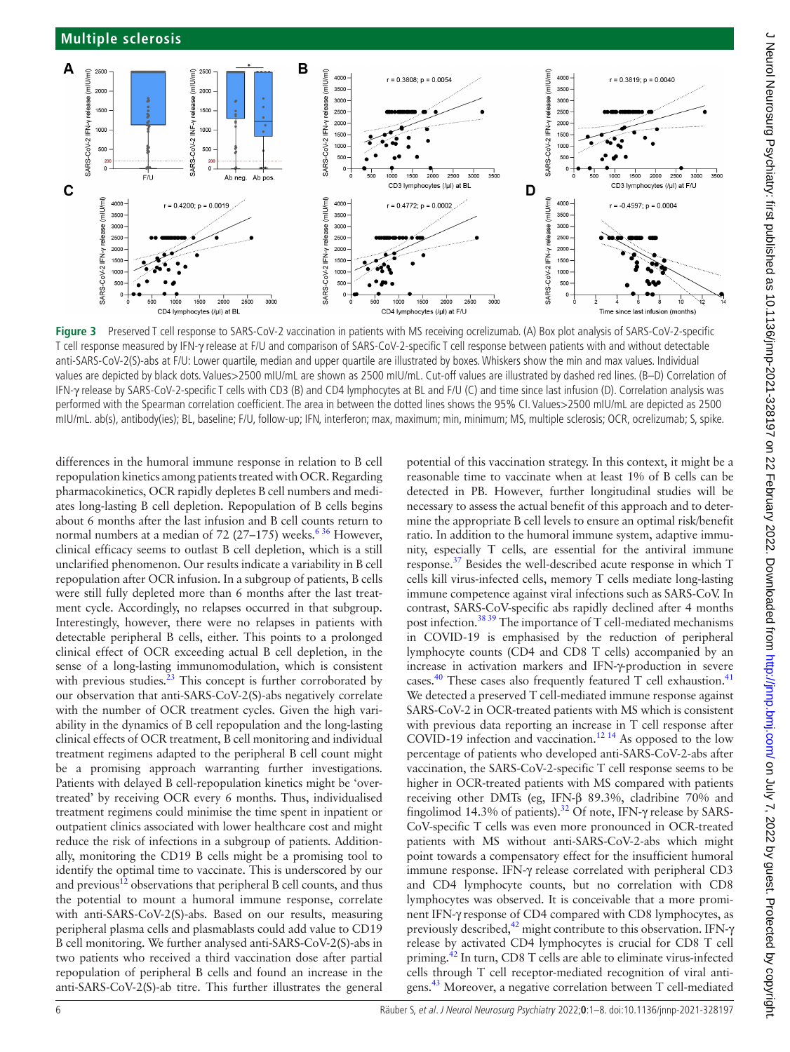

<span id="page-5-0"></span>**Figure 3** Preserved T cell response to SARS-CoV-2 vaccination in patients with MS receiving ocrelizumab. (A) Box plot analysis of SARS-CoV-2-specific T cell response measured by IFN-γ release at F/U and comparison of SARS-CoV-2-specific T cell response between patients with and without detectable anti-SARS-CoV-2(S)-abs at F/U: Lower quartile, median and upper quartile are illustrated by boxes. Whiskers show the min and max values. Individual values are depicted by black dots. Values>2500 mIU/mL are shown as 2500 mIU/mL. Cut-off values are illustrated by dashed red lines. (B–D) Correlation of IFN-γ release by SARS-CoV-2-specific T cells with CD3 (B) and CD4 lymphocytes at BL and F/U (C) and time since last infusion (D). Correlation analysis was performed with the Spearman correlation coefficient. The area in between the dotted lines shows the 95% CI. Values>2500 mIU/mL are depicted as 2500 mIU/mL. ab(s), antibody(ies); BL, baseline; F/U, follow-up; IFN, interferon; max, maximum; min, minimum; MS, multiple sclerosis; OCR, ocrelizumab; S, spike.

differences in the humoral immune response in relation to B cell repopulation kinetics among patients treated with OCR. Regarding pharmacokinetics, OCR rapidly depletes B cell numbers and mediates long-lasting B cell depletion. Repopulation of B cells begins about 6 months after the last infusion and B cell counts return to normal numbers at a median of 72 (27–175) weeks.<sup>636</sup> However, clinical efficacy seems to outlast B cell depletion, which is a still unclarified phenomenon. Our results indicate a variability in B cell repopulation after OCR infusion. In a subgroup of patients, B cells were still fully depleted more than 6 months after the last treatment cycle. Accordingly, no relapses occurred in that subgroup. Interestingly, however, there were no relapses in patients with detectable peripheral B cells, either. This points to a prolonged clinical effect of OCR exceeding actual B cell depletion, in the sense of a long-lasting immunomodulation, which is consistent with previous studies. $23$  This concept is further corroborated by our observation that anti-SARS-CoV-2(S)-abs negatively correlate with the number of OCR treatment cycles. Given the high variability in the dynamics of B cell repopulation and the long-lasting clinical effects of OCR treatment, B cell monitoring and individual treatment regimens adapted to the peripheral B cell count might be a promising approach warranting further investigations. Patients with delayed B cell-repopulation kinetics might be 'overtreated' by receiving OCR every 6 months. Thus, individualised treatment regimens could minimise the time spent in inpatient or outpatient clinics associated with lower healthcare cost and might reduce the risk of infections in a subgroup of patients. Additionally, monitoring the CD19 B cells might be a promising tool to identify the optimal time to vaccinate. This is underscored by our and previous $^{12}$  observations that peripheral B cell counts, and thus the potential to mount a humoral immune response, correlate with anti-SARS-CoV-2(S)-abs. Based on our results, measuring peripheral plasma cells and plasmablasts could add value to CD19 B cell monitoring. We further analysed anti-SARS-CoV-2(S)-abs in two patients who received a third vaccination dose after partial repopulation of peripheral B cells and found an increase in the anti-SARS-CoV-2(S)-ab titre. This further illustrates the general

potential of this vaccination strategy. In this context, it might be a reasonable time to vaccinate when at least 1% of B cells can be detected in PB. However, further longitudinal studies will be necessary to assess the actual benefit of this approach and to determine the appropriate B cell levels to ensure an optimal risk/benefit ratio. In addition to the humoral immune system, adaptive immunity, especially T cells, are essential for the antiviral immune response.[37](#page-7-16) Besides the well-described acute response in which T cells kill virus-infected cells, memory T cells mediate long-lasting immune competence against viral infections such as SARS-CoV. In contrast, SARS-CoV-specific abs rapidly declined after 4 months post infection[.38 39](#page-7-17) The importance of T cell-mediated mechanisms in COVID-19 is emphasised by the reduction of peripheral lymphocyte counts (CD4 and CD8 T cells) accompanied by an increase in activation markers and IFN-γ-production in severe cases.<sup>[40](#page-7-18)</sup> These cases also frequently featured T cell exhaustion.<sup>[41](#page-7-19)</sup> We detected a preserved T cell-mediated immune response against SARS-CoV-2 in OCR-treated patients with MS which is consistent with previous data reporting an increase in T cell response after COVID-19 infection and vaccination.<sup>12 14</sup> As opposed to the low percentage of patients who developed anti-SARS-CoV-2-abs after vaccination, the SARS-CoV-2-specific T cell response seems to be higher in OCR-treated patients with MS compared with patients receiving other DMTs (eg, IFN-β 89.3%, cladribine 70% and fingolimod 14.3% of patients).[32](#page-7-15) Of note, IFN-γ release by SARS-CoV-specific T cells was even more pronounced in OCR-treated patients with MS without anti-SARS-CoV-2-abs which might point towards a compensatory effect for the insufficient humoral immune response. IFN-γ release correlated with peripheral CD3 and CD4 lymphocyte counts, but no correlation with CD8 lymphocytes was observed. It is conceivable that a more prominent IFN-γ response of CD4 compared with CD8 lymphocytes, as previously described, $^{42}$  might contribute to this observation. IFN- $\gamma$ release by activated CD4 lymphocytes is crucial for CD8 T cell priming.[42](#page-7-20) In turn, CD8 T cells are able to eliminate virus-infected cells through T cell receptor-mediated recognition of viral antigens.[43](#page-7-21) Moreover, a negative correlation between T cell-mediated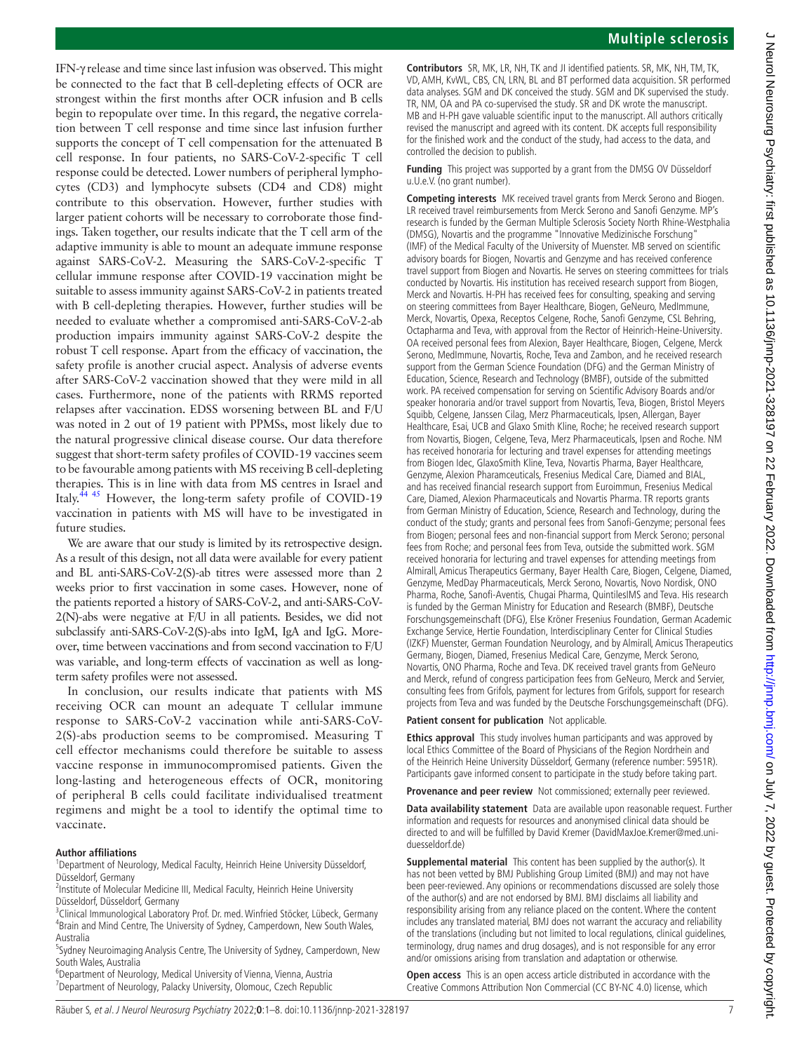IFN-γ release and time since last infusion was observed. This might be connected to the fact that B cell-depleting effects of OCR are strongest within the first months after OCR infusion and B cells begin to repopulate over time. In this regard, the negative correlation between T cell response and time since last infusion further supports the concept of T cell compensation for the attenuated B cell response. In four patients, no SARS-CoV-2-specific T cell response could be detected. Lower numbers of peripheral lymphocytes (CD3) and lymphocyte subsets (CD4 and CD8) might contribute to this observation. However, further studies with larger patient cohorts will be necessary to corroborate those findings. Taken together, our results indicate that the T cell arm of the adaptive immunity is able to mount an adequate immune response against SARS-CoV-2. Measuring the SARS-CoV-2-specific T cellular immune response after COVID-19 vaccination might be suitable to assess immunity against SARS-CoV-2 in patients treated with B cell-depleting therapies. However, further studies will be needed to evaluate whether a compromised anti-SARS-CoV-2-ab production impairs immunity against SARS-CoV-2 despite the robust T cell response. Apart from the efficacy of vaccination, the safety profile is another crucial aspect. Analysis of adverse events after SARS-CoV-2 vaccination showed that they were mild in all cases. Furthermore, none of the patients with RRMS reported relapses after vaccination. EDSS worsening between BL and F/U was noted in 2 out of 19 patient with PPMSs, most likely due to the natural progressive clinical disease course. Our data therefore suggest that short-term safety profiles of COVID-19 vaccines seem to be favourable among patients with MS receiving B cell-depleting therapies. This is in line with data from MS centres in Israel and Italy[.44 45](#page-7-22) However, the long-term safety profile of COVID-19 vaccination in patients with MS will have to be investigated in future studies.

We are aware that our study is limited by its retrospective design. As a result of this design, not all data were available for every patient and BL anti-SARS-CoV-2(S)-ab titres were assessed more than 2 weeks prior to first vaccination in some cases. However, none of the patients reported a history of SARS-CoV-2, and anti-SARS-CoV-2(N)-abs were negative at F/U in all patients. Besides, we did not subclassify anti-SARS-CoV-2(S)-abs into IgM, IgA and IgG. Moreover, time between vaccinations and from second vaccination to F/U was variable, and long-term effects of vaccination as well as longterm safety profiles were not assessed.

In conclusion, our results indicate that patients with MS receiving OCR can mount an adequate T cellular immune response to SARS-CoV-2 vaccination while anti-SARS-CoV-2(S)-abs production seems to be compromised. Measuring T cell effector mechanisms could therefore be suitable to assess vaccine response in immunocompromised patients. Given the long-lasting and heterogeneous effects of OCR, monitoring of peripheral B cells could facilitate individualised treatment regimens and might be a tool to identify the optimal time to vaccinate.

#### **Author affiliations**

<sup>1</sup>Department of Neurology, Medical Faculty, Heinrich Heine University Düsseldorf, Düsseldorf, Germany

<sup>2</sup>Institute of Molecular Medicine III, Medical Faculty, Heinrich Heine University Düsseldorf, Düsseldorf, Germany

<sup>3</sup>Clinical Immunological Laboratory Prof. Dr. med. Winfried Stöcker, Lübeck, Germany <sup>4</sup> Brain and Mind Centre, The University of Sydney, Camperdown, New South Wales, Australia

<sup>5</sup>Sydney Neuroimaging Analysis Centre, The University of Sydney, Camperdown, New South Wales, Australia

6 Department of Neurology, Medical University of Vienna, Vienna, Austria <sup>7</sup> Department of Neurology, Palacky University, Olomouc, Czech Republic

**Contributors** SR, MK, LR, NH, TK and JI identified patients. SR, MK, NH, TM, TK, VD, AMH, KvWL, CBS, CN, LRN, BL and BT performed data acquisition. SR performed data analyses. SGM and DK conceived the study. SGM and DK supervised the study. TR, NM, OA and PA co-supervised the study. SR and DK wrote the manuscript. MB and H-PH gave valuable scientific input to the manuscript. All authors critically revised the manuscript and agreed with its content. DK accepts full responsibility for the finished work and the conduct of the study, had access to the data, and controlled the decision to publish.

**Funding** This project was supported by a grant from the DMSG OV Düsseldorf u.U.e.V. (no grant number).

**Competing interests** MK received travel grants from Merck Serono and Biogen. LR received travel reimbursements from Merck Serono and Sanofi Genzyme. MP's research is funded by the German Multiple Sclerosis Society North Rhine-Westphalia (DMSG), Novartis and the programme "Innovative Medizinische Forschung" (IMF) of the Medical Faculty of the University of Muenster. MB served on scientific advisory boards for Biogen, Novartis and Genzyme and has received conference travel support from Biogen and Novartis. He serves on steering committees for trials conducted by Novartis. His institution has received research support from Biogen, Merck and Novartis. H-PH has received fees for consulting, speaking and serving on steering committees from Bayer Healthcare, Biogen, GeNeuro, MedImmune, Merck, Novartis, Opexa, Receptos Celgene, Roche, Sanofi Genzyme, CSL Behring, Octapharma and Teva, with approval from the Rector of Heinrich-Heine-University. OA received personal fees from Alexion, Bayer Healthcare, Biogen, Celgene, Merck Serono, MedImmune, Novartis, Roche, Teva and Zambon, and he received research support from the German Science Foundation (DFG) and the German Ministry of Education, Science, Research and Technology (BMBF), outside of the submitted work. PA received compensation for serving on Scientific Advisory Boards and/or speaker honoraria and/or travel support from Novartis, Teva, Biogen, Bristol Meyers Squibb, Celgene, Janssen Cilag, Merz Pharmaceuticals, Ipsen, Allergan, Bayer Healthcare, Esai, UCB and Glaxo Smith Kline, Roche; he received research support from Novartis, Biogen, Celgene, Teva, Merz Pharmaceuticals, Ipsen and Roche. NM has received honoraria for lecturing and travel expenses for attending meetings from Biogen Idec, GlaxoSmith Kline, Teva, Novartis Pharma, Bayer Healthcare, Genzyme, Alexion Pharamceuticals, Fresenius Medical Care, Diamed and BIAL, and has received financial research support from Euroimmun, Fresenius Medical Care, Diamed, Alexion Pharmaceuticals and Novartis Pharma. TR reports grants from German Ministry of Education, Science, Research and Technology, during the conduct of the study; grants and personal fees from Sanofi-Genzyme; personal fees from Biogen; personal fees and non-financial support from Merck Serono; personal fees from Roche; and personal fees from Teva, outside the submitted work. SGM received honoraria for lecturing and travel expenses for attending meetings from Almirall, Amicus Therapeutics Germany, Bayer Health Care, Biogen, Celgene, Diamed, Genzyme, MedDay Pharmaceuticals, Merck Serono, Novartis, Novo Nordisk, ONO Pharma, Roche, Sanofi-Aventis, Chugai Pharma, QuintilesIMS and Teva. His research is funded by the German Ministry for Education and Research (BMBF), Deutsche Forschungsgemeinschaft (DFG), Else Kröner Fresenius Foundation, German Academic Exchange Service, Hertie Foundation, Interdisciplinary Center for Clinical Studies (IZKF) Muenster, German Foundation Neurology, and by Almirall, Amicus Therapeutics Germany, Biogen, Diamed, Fresenius Medical Care, Genzyme, Merck Serono, Novartis, ONO Pharma, Roche and Teva. DK received travel grants from GeNeuro and Merck, refund of congress participation fees from GeNeuro, Merck and Servier, consulting fees from Grifols, payment for lectures from Grifols, support for research projects from Teva and was funded by the Deutsche Forschungsgemeinschaft (DFG).

#### **Patient consent for publication** Not applicable.

**Ethics approval** This study involves human participants and was approved by local Ethics Committee of the Board of Physicians of the Region Nordrhein and of the Heinrich Heine University Düsseldorf, Germany (reference number: 5951R). Participants gave informed consent to participate in the study before taking part.

**Provenance and peer review** Not commissioned; externally peer reviewed.

**Data availability statement** Data are available upon reasonable request. Further information and requests for resources and anonymised clinical data should be directed to and will be fulfilled by David Kremer (DavidMaxJoe.Kremer@med.uniduesseldorf.de)

**Supplemental material** This content has been supplied by the author(s). It has not been vetted by BMJ Publishing Group Limited (BMJ) and may not have been peer-reviewed. Any opinions or recommendations discussed are solely those of the author(s) and are not endorsed by BMJ. BMJ disclaims all liability and responsibility arising from any reliance placed on the content. Where the content includes any translated material, BMJ does not warrant the accuracy and reliability of the translations (including but not limited to local regulations, clinical guidelines, terminology, drug names and drug dosages), and is not responsible for any error and/or omissions arising from translation and adaptation or otherwise.

**Open access** This is an open access article distributed in accordance with the Creative Commons Attribution Non Commercial (CC BY-NC 4.0) license, which